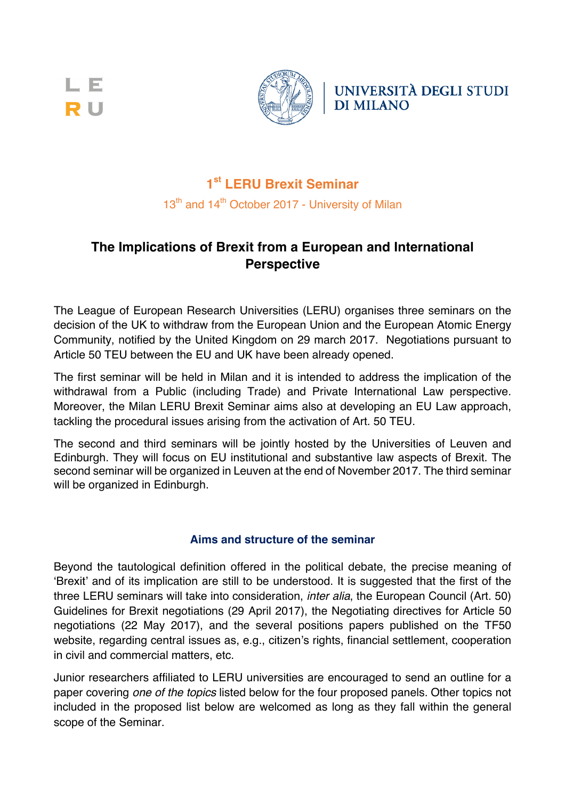L E **RU** 



UNIVERSITÀ DEGLI STUDI **DI MILANO** 

# **1st LERU Brexit Seminar**

13<sup>th</sup> and 14<sup>th</sup> October 2017 - University of Milan

## **The Implications of Brexit from a European and International Perspective**

The League of European Research Universities (LERU) organises three seminars on the decision of the UK to withdraw from the European Union and the European Atomic Energy Community, notified by the United Kingdom on 29 march 2017. Negotiations pursuant to Article 50 TEU between the EU and UK have been already opened.

The first seminar will be held in Milan and it is intended to address the implication of the withdrawal from a Public (including Trade) and Private International Law perspective. Moreover, the Milan LERU Brexit Seminar aims also at developing an EU Law approach, tackling the procedural issues arising from the activation of Art. 50 TEU.

The second and third seminars will be jointly hosted by the Universities of Leuven and Edinburgh. They will focus on EU institutional and substantive law aspects of Brexit. The second seminar will be organized in Leuven at the end of November 2017. The third seminar will be organized in Edinburgh.

### **Aims and structure of the seminar**

Beyond the tautological definition offered in the political debate, the precise meaning of 'Brexit' and of its implication are still to be understood. It is suggested that the first of the three LERU seminars will take into consideration, *inter alia*, the European Council (Art. 50) Guidelines for Brexit negotiations (29 April 2017), the Negotiating directives for Article 50 negotiations (22 May 2017), and the several positions papers published on the TF50 website, regarding central issues as, e.g., citizen's rights, financial settlement, cooperation in civil and commercial matters, etc.

Junior researchers affiliated to LERU universities are encouraged to send an outline for a paper covering *one of the topics* listed below for the four proposed panels. Other topics not included in the proposed list below are welcomed as long as they fall within the general scope of the Seminar.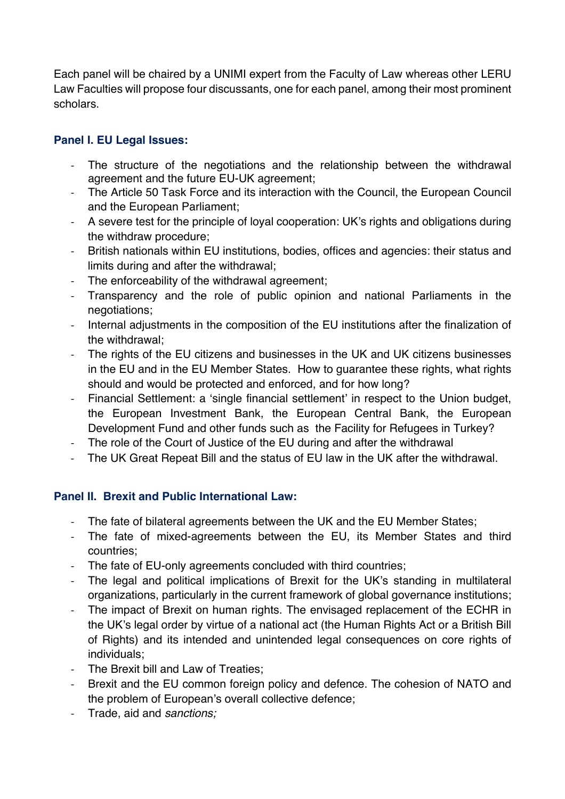Each panel will be chaired by a UNIMI expert from the Faculty of Law whereas other LERU Law Faculties will propose four discussants, one for each panel, among their most prominent scholars.

### **Panel I. EU Legal Issues:**

- The structure of the negotiations and the relationship between the withdrawal agreement and the future EU-UK agreement;
- The Article 50 Task Force and its interaction with the Council, the European Council and the European Parliament;
- A severe test for the principle of loyal cooperation: UK's rights and obligations during the withdraw procedure;
- British nationals within EU institutions, bodies, offices and agencies: their status and limits during and after the withdrawal;
- The enforceability of the withdrawal agreement;
- Transparency and the role of public opinion and national Parliaments in the negotiations;
- Internal adjustments in the composition of the EU institutions after the finalization of the withdrawal;
- The rights of the EU citizens and businesses in the UK and UK citizens businesses in the EU and in the EU Member States. How to guarantee these rights, what rights should and would be protected and enforced, and for how long?
- Financial Settlement: a 'single financial settlement' in respect to the Union budget, the European Investment Bank, the European Central Bank, the European Development Fund and other funds such as the Facility for Refugees in Turkey?
- The role of the Court of Justice of the EU during and after the withdrawal
- The UK Great Repeat Bill and the status of EU law in the UK after the withdrawal.

### **Panel II. Brexit and Public International Law:**

- The fate of bilateral agreements between the UK and the EU Member States;
- The fate of mixed-agreements between the EU, its Member States and third countries;
- The fate of EU-only agreements concluded with third countries;
- The legal and political implications of Brexit for the UK's standing in multilateral organizations, particularly in the current framework of global governance institutions;
- The impact of Brexit on human rights. The envisaged replacement of the ECHR in the UK's legal order by virtue of a national act (the Human Rights Act or a British Bill of Rights) and its intended and unintended legal consequences on core rights of individuals;
- The Brexit bill and Law of Treaties;
- Brexit and the EU common foreign policy and defence. The cohesion of NATO and the problem of European's overall collective defence;
- Trade, aid and *sanctions;*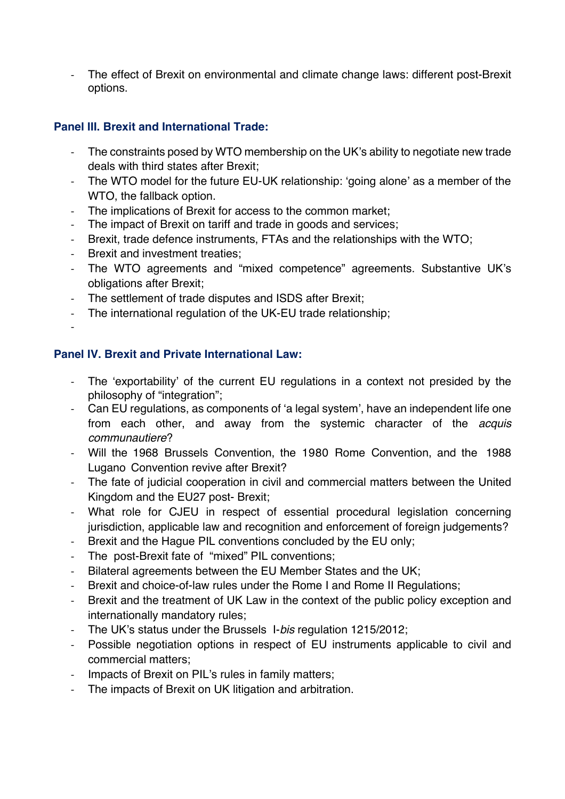- The effect of Brexit on environmental and climate change laws: different post-Brexit options.

### **Panel III. Brexit and International Trade:**

- The constraints posed by WTO membership on the UK's ability to negotiate new trade deals with third states after Brexit;
- The WTO model for the future EU-UK relationship: 'going alone' as a member of the WTO, the fallback option.
- The implications of Brexit for access to the common market;
- The impact of Brexit on tariff and trade in goods and services;
- Brexit, trade defence instruments, FTAs and the relationships with the WTO;
- Brexit and investment treaties;
- The WTO agreements and "mixed competence" agreements. Substantive UK's obligations after Brexit;
- The settlement of trade disputes and ISDS after Brexit;
- The international regulation of the UK-EU trade relationship;
- -

#### **Panel IV. Brexit and Private International Law:**

- The 'exportability' of the current EU regulations in a context not presided by the philosophy of "integration";
- Can EU regulations, as components of 'a legal system', have an independent life one from each other, and away from the systemic character of the *acquis communautiere*?
- Will the 1968 Brussels Convention, the 1980 Rome Convention, and the 1988 Lugano Convention revive after Brexit?
- The fate of judicial cooperation in civil and commercial matters between the United Kingdom and the EU27 post- Brexit;
- What role for CJEU in respect of essential procedural legislation concerning jurisdiction, applicable law and recognition and enforcement of foreign judgements?
- Brexit and the Hague PIL conventions concluded by the EU only;
- The post-Brexit fate of "mixed" PIL conventions;
- Bilateral agreements between the EU Member States and the UK;
- Brexit and choice-of-law rules under the Rome I and Rome II Regulations;
- Brexit and the treatment of UK Law in the context of the public policy exception and internationally mandatory rules;
- The UK's status under the Brussels I-*bis* regulation 1215/2012;
- Possible negotiation options in respect of EU instruments applicable to civil and commercial matters;
- Impacts of Brexit on PIL's rules in family matters;
- The impacts of Brexit on UK litigation and arbitration.